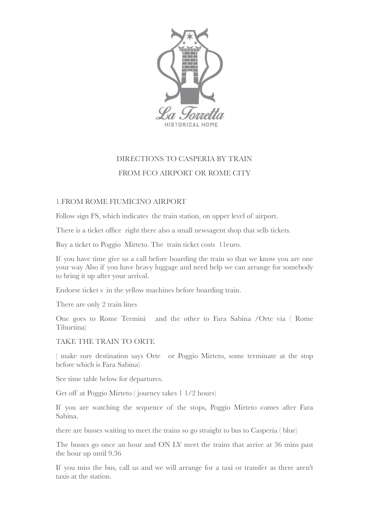

## DIRECTIONS TO CASPERIA BY TRAIN FROM FCO AIRPORT OR ROME CITY

## 1.FROM ROME FIUMICINO AIRPORT

Follow sign FS, which indicates the train station, on upper level of airport.

There is a ticket office right there also a small newsagent shop that sells tickets.

Buy a ticket to Poggio Mirteto. The train ticket costs 11euro.

If you have time give us a call before boarding the train so that we know you are one your way Also if you have heavy luggage and need help we can arrange for somebody to bring it up after your arrival.

Endorse ticket s in the yellow machines before boarding train.

There are only 2 train lines

One goes to Rome Termini and the other to Fara Sabina /Orte via ( Rome Tiburtina)

TAKE THE TRAIN TO ORTE

( make sure destination says Orte or Poggio Mirteto, some terminate at the stop before which is Fara Sabina)

See time table below for departures.

Get off at Poggio Mirteto ( journey takes 1 1/2 hours)

If you are watching the sequence of the stops, Poggio Mirteto comes after Fara Sabina.

there are busses waiting to meet the trains so go straight to bus to Casperia ( blue)

The busses go once an hour and ON LY meet the trains that arrive at 36 mins past the hour up until 9.36

If you miss the bus, call us and we will arrange for a taxi or transfer as there aren't taxis at the station.